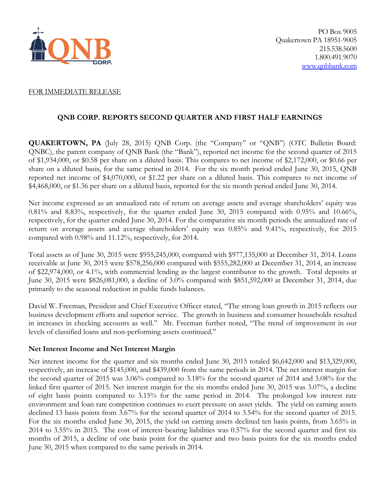

#### FOR IMMEDIATE RELEASE

## **QNB CORP. REPORTS SECOND QUARTER AND FIRST HALF EARNINGS**

**QUAKERTOWN, PA** (July 28, 2015) QNB Corp. (the "Company" or "QNB") (OTC Bulletin Board: QNBC), the parent company of QNB Bank (the "Bank"), reported net income for the second quarter of 2015 of \$1,934,000, or \$0.58 per share on a diluted basis. This compares to net income of \$2,172,000, or \$0.66 per share on a diluted basis, for the same period in 2014. For the six month period ended June 30, 2015, QNB reported net income of \$4,070,000, or \$1.22 per share on a diluted basis. This compares to net income of \$4,468,000, or \$1.36 per share on a diluted basis, reported for the six month period ended June 30, 2014.

Net income expressed as an annualized rate of return on average assets and average shareholders' equity was  $0.81\%$  and  $8.83\%$ , respectively, for the quarter ended June 30, 2015 compared with  $0.95\%$  and  $10.66\%$ , respectively, for the quarter ended June 30, 2014. For the comparative six month periods the annualized rate of return on average assets and average shareholders' equity was 0.85% and 9.41%, respectively, for 2015 compared with 0.98% and 11.12%, respectively, for 2014.

Total assets as of June 30, 2015 were \$955,245,000, compared with \$977,135,000 at December 31, 2014. Loans receivable at June 30, 2015 were \$578,256,000 compared with \$555,282,000 at December 31, 2014, an increase of \$22,974,000, or 4.1%, with commercial lending as the largest contributor to the growth. Total deposits at June 30, 2015 were \$826,081,000, a decline of 3.0% compared with \$851,592,000 at December 31, 2014, due primarily to the seasonal reduction in public funds balances.

David W. Freeman, President and Chief Executive Officer stated, "The strong loan growth in 2015 reflects our business development efforts and superior service. The growth in business and consumer households resulted in increases in checking accounts as well." Mr. Freeman further noted, "The trend of improvement in our levels of classified loans and non-performing assets continued."

### **Net Interest Income and Net Interest Margin**

Net interest income for the quarter and six months ended June 30, 2015 totaled \$6,642,000 and \$13,329,000, respectively, an increase of \$145,000, and \$439,000 from the same periods in 2014. The net interest margin for the second quarter of 2015 was 3.06% compared to 3.18% for the second quarter of 2014 and 3.08% for the linked first quarter of 2015. Net interest margin for the six months ended June 30, 2015 was 3.07%, a decline of eight basis points compared to 3.15% for the same period in 2014. The prolonged low interest rate environment and loan rate competition continues to exert pressure on asset yields. The yield on earning assets declined 13 basis points from 3.67% for the second quarter of 2014 to 3.54% for the second quarter of 2015. For the six months ended June 30, 2015, the yield on earning assets declined ten basis points, from 3.65% in 2014 to 3.55% in 2015. The cost of interest-bearing liabilities was 0.57% for the second quarter and first six months of 2015, a decline of one basis point for the quarter and two basis points for the six months ended June 30, 2015 when compared to the same periods in 2014.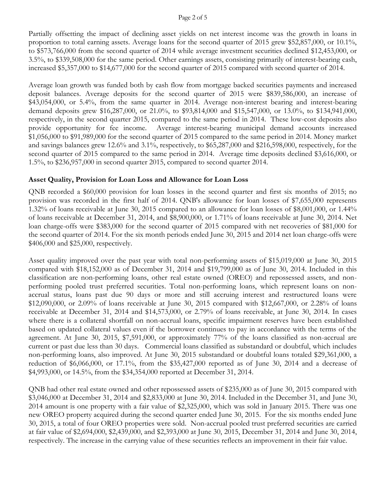#### Page 2 of 5

Partially offsetting the impact of declining asset yields on net interest income was the growth in loans in proportion to total earning assets. Average loans for the second quarter of 2015 grew \$52,857,000, or 10.1%, to \$573,766,000 from the second quarter of 2014 while average investment securities declined \$12,453,000, or 3.5%, to \$339,508,000 for the same period. Other earnings assets, consisting primarily of interest-bearing cash, increased \$5,357,000 to \$14,677,000 for the second quarter of 2015 compared with second quarter of 2014.

Average loan growth was funded both by cash flow from mortgage backed securities payments and increased deposit balances. Average deposits for the second quarter of 2015 were \$839,586,000, an increase of \$43,054,000, or 5.4%, from the same quarter in 2014. Average non-interest bearing and interest-bearing demand deposits grew \$16,287,000, or 21.0%, to \$93,814,000 and \$15,547,000, or 13.0%, to \$134,941,000, respectively, in the second quarter 2015, compared to the same period in 2014. These low-cost deposits also provide opportunity for fee income. Average interest-bearing municipal demand accounts increased \$1,056,000 to \$91,989,000 for the second quarter of 2015 compared to the same period in 2014. Money market and savings balances grew 12.6% and 3.1%, respectively, to \$65,287,000 and \$216,598,000, respectively, for the second quarter of 2015 compared to the same period in 2014. Average time deposits declined \$3,616,000, or 1.5%, to \$236,957,000 in second quarter 2015, compared to second quarter 2014.

# **Asset Quality, Provision for Loan Loss and Allowance for Loan Loss**

QNB recorded a \$60,000 provision for loan losses in the second quarter and first six months of 2015; no provision was recorded in the first half of 2014. QNB's allowance for loan losses of \$7,655,000 represents 1.32% of loans receivable at June 30, 2015 compared to an allowance for loan losses of \$8,001,000, or 1.44% of loans receivable at December 31, 2014, and \$8,900,000, or 1.71% of loans receivable at June 30, 2014. Net loan charge-offs were \$383,000 for the second quarter of 2015 compared with net recoveries of \$81,000 for the second quarter of 2014. For the six month periods ended June 30, 2015 and 2014 net loan charge-offs were \$406,000 and \$25,000, respectively.

Asset quality improved over the past year with total non-performing assets of \$15,019,000 at June 30, 2015 compared with \$18,152,000 as of December 31, 2014 and \$19,799,000 as of June 30, 2014. Included in this classification are non-performing loans, other real estate owned (OREO) and repossessed assets, and nonperforming pooled trust preferred securities. Total non-performing loans, which represent loans on nonaccrual status, loans past due 90 days or more and still accruing interest and restructured loans were \$12,090,000, or 2.09% of loans receivable at June 30, 2015 compared with \$12,667,000, or 2.28% of loans receivable at December 31, 2014 and \$14,573,000, or 2.79% of loans receivable, at June 30, 2014. In cases where there is a collateral shortfall on non-accrual loans, specific impairment reserves have been established based on updated collateral values even if the borrower continues to pay in accordance with the terms of the agreement. At June 30, 2015, \$7,591,000, or approximately 77% of the loans classified as non-accrual are current or past due less than 30 days. Commercial loans classified as substandard or doubtful, which includes non-performing loans, also improved. At June 30, 2015 substandard or doubtful loans totaled \$29,361,000, a reduction of \$6,066,000, or 17.1%, from the \$35,427,000 reported as of June 30, 2014 and a decrease of \$4,993,000, or 14.5%, from the \$34,354,000 reported at December 31, 2014.

QNB had other real estate owned and other repossessed assets of \$235,000 as of June 30, 2015 compared with \$3,046,000 at December 31, 2014 and \$2,833,000 at June 30, 2014. Included in the December 31, and June 30, 2014 amount is one property with a fair value of \$2,325,000, which was sold in January 2015. There was one new OREO property acquired during the second quarter ended June 30, 2015. For the six months ended June 30, 2015, a total of four OREO properties were sold. Non-accrual pooled trust preferred securities are carried at fair value of \$2,694,000, \$2,439,000, and \$2,393,000 at June 30, 2015, December 31, 2014 and June 30, 2014, respectively. The increase in the carrying value of these securities reflects an improvement in their fair value.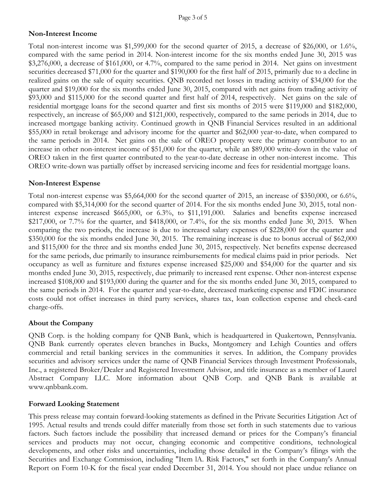## **Non-Interest Income**

Total non-interest income was \$1,599,000 for the second quarter of 2015, a decrease of \$26,000, or 1.6%, compared with the same period in 2014. Non-interest income for the six months ended June 30, 2015 was \$3,276,000, a decrease of \$161,000, or 4.7%, compared to the same period in 2014. Net gains on investment securities decreased \$71,000 for the quarter and \$190,000 for the first half of 2015, primarily due to a decline in realized gains on the sale of equity securities. QNB recorded net losses in trading activity of \$34,000 for the quarter and \$19,000 for the six months ended June 30, 2015, compared with net gains from trading activity of \$93,000 and \$115,000 for the second quarter and first half of 2014, respectively. Net gains on the sale of residential mortgage loans for the second quarter and first six months of 2015 were \$119,000 and \$182,000, respectively, an increase of \$65,000 and \$121,000, respectively, compared to the same periods in 2014, due to increased mortgage banking activity. Continued growth in QNB Financial Services resulted in an additional \$55,000 in retail brokerage and advisory income for the quarter and \$62,000 year-to-date, when compared to the same periods in 2014. Net gains on the sale of OREO property were the primary contributor to an increase in other non-interest income of \$51,000 for the quarter, while an \$89,000 write-down in the value of OREO taken in the first quarter contributed to the year-to-date decrease in other non-interest income. This OREO write-down was partially offset by increased servicing income and fees for residential mortgage loans.

### **Non-Interest Expense**

Total non-interest expense was \$5,664,000 for the second quarter of 2015, an increase of \$350,000, or 6.6%, compared with \$5,314,000 for the second quarter of 2014. For the six months ended June 30, 2015, total noninterest expense increased \$665,000, or 6.3%, to \$11,191,000. Salaries and benefits expense increased \$217,000, or 7.7% for the quarter, and \$418,000, or 7.4%, for the six months ended June 30, 2015. When comparing the two periods, the increase is due to increased salary expenses of \$228,000 for the quarter and \$350,000 for the six months ended June 30, 2015. The remaining increase is due to bonus accrual of \$62,000 and \$115,000 for the three and six months ended June 30, 2015, respectively. Net benefits expense decreased for the same periods, due primarily to insurance reimbursements for medical claims paid in prior periods. Net occupancy as well as furniture and fixtures expense increased \$25,000 and \$54,000 for the quarter and six months ended June 30, 2015, respectively, due primarily to increased rent expense. Other non-interest expense increased \$108,000 and \$193,000 during the quarter and for the six months ended June 30, 2015, compared to the same periods in 2014. For the quarter and year-to-date, decreased marketing expense and FDIC insurance costs could not offset increases in third party services, shares tax, loan collection expense and check-card charge-offs.

## **About the Company**

QNB Corp. is the holding company for QNB Bank, which is headquartered in Quakertown, Pennsylvania. QNB Bank currently operates eleven branches in Bucks, Montgomery and Lehigh Counties and offers commercial and retail banking services in the communities it serves. In addition, the Company provides securities and advisory services under the name of QNB Financial Services through Investment Professionals, Inc., a registered Broker/Dealer and Registered Investment Advisor, and title insurance as a member of Laurel Abstract Company LLC. More information about QNB Corp. and QNB Bank is available at www.qnbbank.com.

### **Forward Looking Statement**

This press release may contain forward-looking statements as defined in the Private Securities Litigation Act of 1995. Actual results and trends could differ materially from those set forth in such statements due to various factors. Such factors include the possibility that increased demand or prices for the Company's financial services and products may not occur, changing economic and competitive conditions, technological developments, and other risks and uncertainties, including those detailed in the Company's filings with the Securities and Exchange Commission, including "Item lA. Risk Factors," set forth in the Company's Annual Report on Form 10-K for the fiscal year ended December 31, 2014. You should not place undue reliance on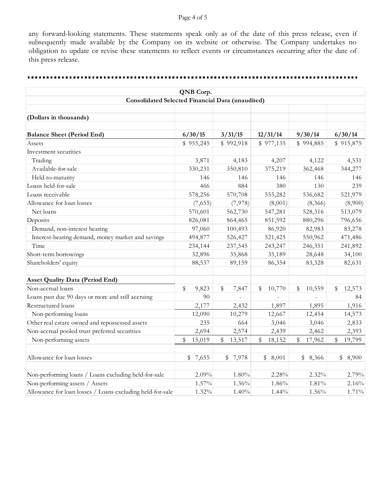#### Page 4 of 5

any forward-looking statements. These statements speak only as of the date of this press release, even if subsequently made available by the Company on its website or otherwise. The Company undertakes no obligation to update or revise these statements to reflect events or circumstances occurring after the date of this press release.

 $- - - -$ 

| QNB Corp.<br><b>Consolidated Selected Financial Data (unaudited)</b> |               |              |              |              |              |  |  |  |  |  |  |
|----------------------------------------------------------------------|---------------|--------------|--------------|--------------|--------------|--|--|--|--|--|--|
|                                                                      |               |              |              |              |              |  |  |  |  |  |  |
| <b>Balance Sheet (Period End)</b>                                    | 6/30/15       | 3/31/15      | 12/31/14     | 9/30/14      | 6/30/14      |  |  |  |  |  |  |
| Assets                                                               | \$955,245     | \$992,918    | \$977,135    | \$994,885    | \$915,875    |  |  |  |  |  |  |
| Investment securities                                                |               |              |              |              |              |  |  |  |  |  |  |
| Trading                                                              | 3,871         | 4,183        | 4,207        | 4,122        | 4,531        |  |  |  |  |  |  |
| Available-for-sale                                                   | 330,231       | 350,810      | 375,219      | 362,468      | 344,277      |  |  |  |  |  |  |
| Held-to-maturity                                                     | 146           | 146          | 146          | 146          | 146          |  |  |  |  |  |  |
| Loans held-for-sale                                                  | 466           | 884          | 380          | 130          | 239          |  |  |  |  |  |  |
| Loans receivable                                                     | 578,256       | 570,708      | 555,282      | 536,682      | 521,979      |  |  |  |  |  |  |
| Allowance for loan losses                                            | (7,655)       | (7,978)      | (8,001)      | (8,366)      | (8,900)      |  |  |  |  |  |  |
| Net loans                                                            | 570,601       | 562,730      | 547,281      | 528,316      | 513,079      |  |  |  |  |  |  |
| Deposits                                                             | 826,081       | 864,465      | 851,592      | 880,296      | 796,656      |  |  |  |  |  |  |
| Demand, non-interest bearing                                         | 97,060        | 100,493      | 86,920       | 82,983       | 83,278       |  |  |  |  |  |  |
| Interest-bearing demand, money market and savings                    | 494,877       | 526,427      | 521,425      | 550,962      | 471,486      |  |  |  |  |  |  |
| Time                                                                 | 234,144       | 237,545      | 243,247      | 246,351      | 241,892      |  |  |  |  |  |  |
| Short-term borrowings                                                | 32,896        | 35,868       | 35,189       | 28,648       | 34,100       |  |  |  |  |  |  |
| Shareholders' equity                                                 | 88,537        | 89,159       | 86,354       | 83,328       | 82,631       |  |  |  |  |  |  |
| <b>Asset Quality Data (Period End)</b>                               |               |              |              |              |              |  |  |  |  |  |  |
| Non-accrual loans                                                    | $\$$<br>9,823 | \$<br>7,847  | \$<br>10,770 | \$<br>10,559 | 12,573<br>\$ |  |  |  |  |  |  |
| Loans past due 90 days or more and still accruing                    | 90            |              |              |              | 84           |  |  |  |  |  |  |
| Restructured loans                                                   | 2,177         | 2,432        | 1,897        | 1,895        | 1,916        |  |  |  |  |  |  |
| Non-performing loans                                                 | 12,090        | 10,279       | 12,667       | 12,454       | 14,573       |  |  |  |  |  |  |
| Other real estate owned and repossessed assets                       | 235           | 664          | 3,046        | 3,046        | 2,833        |  |  |  |  |  |  |
| Non-accrual pooled trust preferred securities                        | 2,694         | 2,574        | 2,439        | 2,462        | 2,393        |  |  |  |  |  |  |
| Non-performing assets                                                | 15,019<br>\$  | \$<br>13,517 | 18,152<br>\$ | 17,962<br>\$ | \$<br>19,799 |  |  |  |  |  |  |
| Allowance for loan losses                                            | \$7,655       | \$7,978      | \$8,001      | \$8,366      | \$<br>8,900  |  |  |  |  |  |  |
| Non-performing loans / Loans excluding held-for-sale                 | 2.09%         | 1.80%        | 2.28%        | 2.32%        | 2.79%        |  |  |  |  |  |  |
| Non-performing assets / Assets                                       | 1.57%         | 1.36%        | 1.86%        | 1.81%        | 2.16%        |  |  |  |  |  |  |
| Allowance for loan losses / Loans excluding held-for-sale            | 1.32%         | 1.40%        | 1.44%        | 1.56%        | 1.71%        |  |  |  |  |  |  |